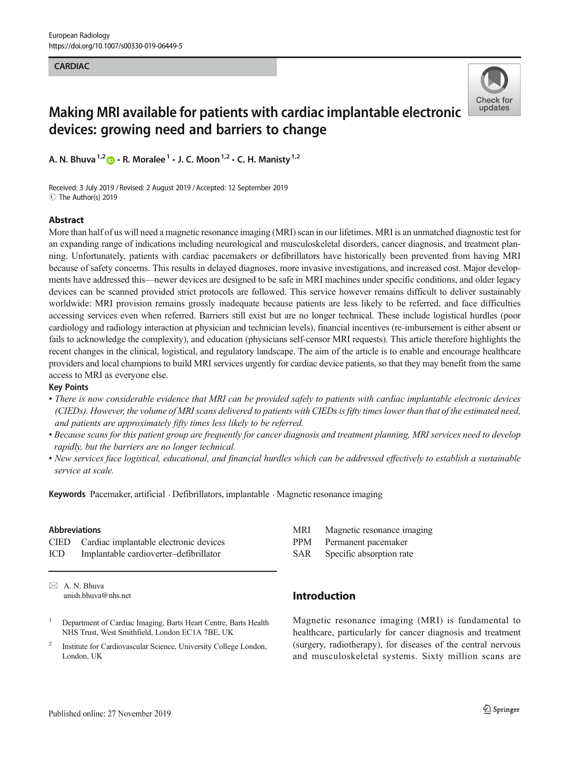#### **CARDIAC**



# Making MRI available for patients with cardiac implantable electronic devices: growing need and barriers to change

A. N. Bhuva<sup>1,2</sup>  $\bullet$  · R. Moralee<sup>1</sup> · J. C. Moon<sup>1,2</sup> · C. H. Manisty<sup>1,2</sup>

Received: 3 July 2019 / Revised: 2 August 2019 /Accepted: 12 September 2019 C The Author(s) 2019

#### Abstract

More than half of us will need a magnetic resonance imaging (MRI) scan in our lifetimes. MRI is an unmatched diagnostic test for an expanding range of indications including neurological and musculoskeletal disorders, cancer diagnosis, and treatment planning. Unfortunately, patients with cardiac pacemakers or defibrillators have historically been prevented from having MRI because of safety concerns. This results in delayed diagnoses, more invasive investigations, and increased cost. Major developments have addressed this—newer devices are designed to be safe in MRI machines under specific conditions, and older legacy devices can be scanned provided strict protocols are followed. This service however remains difficult to deliver sustainably worldwide: MRI provision remains grossly inadequate because patients are less likely to be referred, and face difficulties accessing services even when referred. Barriers still exist but are no longer technical. These include logistical hurdles (poor cardiology and radiology interaction at physician and technician levels), financial incentives (re-imbursement is either absent or fails to acknowledge the complexity), and education (physicians self-censor MRI requests). This article therefore highlights the recent changes in the clinical, logistical, and regulatory landscape. The aim of the article is to enable and encourage healthcare providers and local champions to build MRI services urgently for cardiac device patients, so that they may benefit from the same access to MRI as everyone else.

#### Key Points

- There is now considerable evidence that MRI can be provided safely to patients with cardiac implantable electronic devices (CIEDs). However, the volume of MRI scans delivered to patients with CIEDs is fifty times lower than that of the estimated need, and patients are approximately fifty times less likely to be referred.
- Because scans for this patient group are frequently for cancer diagnosis and treatment planning, MRI services need to develop rapidly, but the barriers are no longer technical.
- New services face logistical, educational, and financial hurdles which can be addressed effectively to establish a sustainable service at scale.

Keywords Pacemaker, artificial · Defibrillators, implantable · Magnetic resonance imaging

#### Abbreviations

CIED Cardiac implantable electronic devices ICD Implantable cardioverter–defibrillator

 $\boxtimes$  A. N. Bhuva [anish.bhuva@nhs.net](mailto:anish.bhuva@nhs.net)

- <sup>1</sup> Department of Cardiac Imaging, Barts Heart Centre, Barts Health NHS Trust, West Smithfield, London EC1A 7BE, UK
- <sup>2</sup> Institute for Cardiovascular Science, University College London, London, UK
- MRI Magnetic resonance imaging
- PPM Permanent pacemaker
- SAR Specific absorption rate

# Introduction

Magnetic resonance imaging (MRI) is fundamental to healthcare, particularly for cancer diagnosis and treatment (surgery, radiotherapy), for diseases of the central nervous and musculoskeletal systems. Sixty million scans are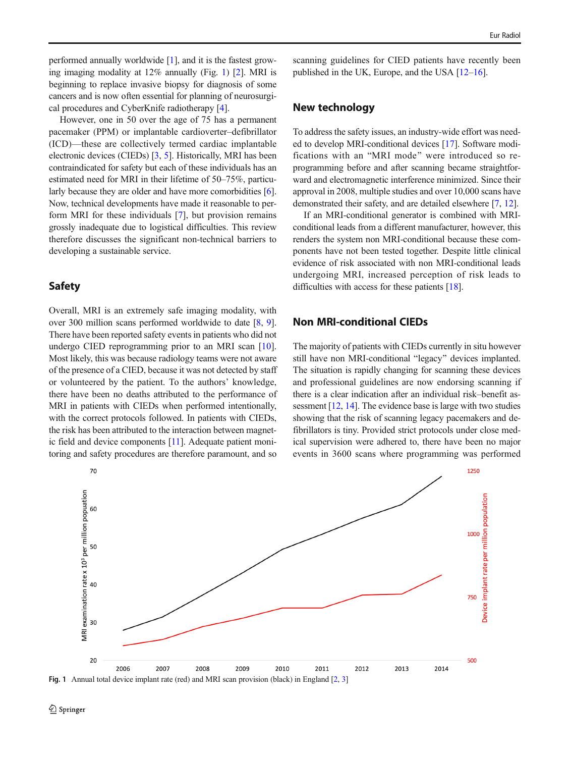<span id="page-1-0"></span>performed annually worldwide [\[1](#page-5-0)], and it is the fastest growing imaging modality at 12% annually (Fig. 1) [[2](#page-5-0)]. MRI is beginning to replace invasive biopsy for diagnosis of some cancers and is now often essential for planning of neurosurgical procedures and CyberKnife radiotherapy [[4](#page-5-0)].

However, one in 50 over the age of 75 has a permanent pacemaker (PPM) or implantable cardioverter–defibrillator (ICD)—these are collectively termed cardiac implantable electronic devices (CIEDs) [\[3](#page-5-0), [5](#page-5-0)]. Historically, MRI has been contraindicated for safety but each of these individuals has an estimated need for MRI in their lifetime of 50–75%, particu-larly because they are older and have more comorbidities [[6\]](#page-5-0). Now, technical developments have made it reasonable to perform MRI for these individuals [\[7](#page-5-0)], but provision remains grossly inadequate due to logistical difficulties. This review therefore discusses the significant non-technical barriers to developing a sustainable service.

#### Safety

Overall, MRI is an extremely safe imaging modality, with over 300 million scans performed worldwide to date [[8,](#page-5-0) [9\]](#page-5-0). There have been reported safety events in patients who did not undergo CIED reprogramming prior to an MRI scan [\[10](#page-5-0)]. Most likely, this was because radiology teams were not aware of the presence of a CIED, because it was not detected by staff or volunteered by the patient. To the authors' knowledge, there have been no deaths attributed to the performance of MRI in patients with CIEDs when performed intentionally, with the correct protocols followed. In patients with CIEDs, the risk has been attributed to the interaction between magnetic field and device components [\[11\]](#page-5-0). Adequate patient monitoring and safety procedures are therefore paramount, and so scanning guidelines for CIED patients have recently been published in the UK, Europe, and the USA [\[12](#page-5-0)–[16\]](#page-5-0).

#### New technology

To address the safety issues, an industry-wide effort was needed to develop MRI-conditional devices [\[17\]](#page-5-0). Software modifications with an "MRI mode" were introduced so reprogramming before and after scanning became straightforward and electromagnetic interference minimized. Since their approval in 2008, multiple studies and over 10,000 scans have demonstrated their safety, and are detailed elsewhere [\[7,](#page-5-0) [12\]](#page-5-0).

If an MRI-conditional generator is combined with MRIconditional leads from a different manufacturer, however, this renders the system non MRI-conditional because these components have not been tested together. Despite little clinical evidence of risk associated with non MRI-conditional leads undergoing MRI, increased perception of risk leads to difficulties with access for these patients [\[18\]](#page-5-0).

## Non MRI-conditional CIEDs

The majority of patients with CIEDs currently in situ however still have non MRI-conditional "legacy" devices implanted. The situation is rapidly changing for scanning these devices and professional guidelines are now endorsing scanning if there is a clear indication after an individual risk–benefit assessment [\[12](#page-5-0), [14](#page-5-0)]. The evidence base is large with two studies showing that the risk of scanning legacy pacemakers and defibrillators is tiny. Provided strict protocols under close medical supervision were adhered to, there have been no major events in 3600 scans where programming was performed



Fig. 1 Annual total device implant rate (red) and MRI scan provision (black) in England [[2,](#page-5-0) [3](#page-5-0)]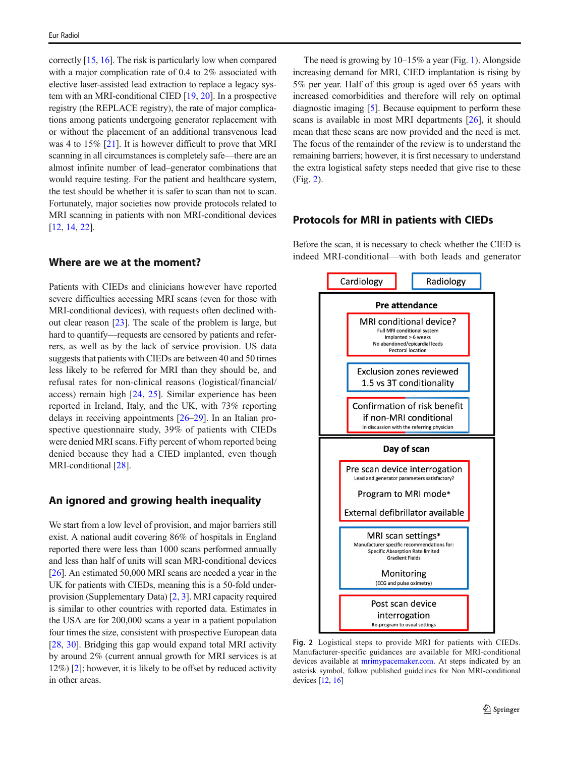correctly [\[15](#page-5-0), [16](#page-5-0)]. The risk is particularly low when compared with a major complication rate of 0.4 to 2% associated with elective laser-assisted lead extraction to replace a legacy system with an MRI-conditional CIED [\[19,](#page-5-0) [20](#page-5-0)]. In a prospective registry (the REPLACE registry), the rate of major complications among patients undergoing generator replacement with or without the placement of an additional transvenous lead was 4 to 15% [\[21](#page-5-0)]. It is however difficult to prove that MRI scanning in all circumstances is completely safe—there are an almost infinite number of lead–generator combinations that would require testing. For the patient and healthcare system, the test should be whether it is safer to scan than not to scan. Fortunately, major societies now provide protocols related to MRI scanning in patients with non MRI-conditional devices [\[12,](#page-5-0) [14,](#page-5-0) [22\]](#page-5-0).

#### Where are we at the moment?

Patients with CIEDs and clinicians however have reported severe difficulties accessing MRI scans (even for those with MRI-conditional devices), with requests often declined without clear reason [\[23](#page-5-0)]. The scale of the problem is large, but hard to quantify—requests are censored by patients and referrers, as well as by the lack of service provision. US data suggests that patients with CIEDs are between 40 and 50 times less likely to be referred for MRI than they should be, and refusal rates for non-clinical reasons (logistical/financial/ access) remain high [[24,](#page-5-0) [25\]](#page-5-0). Similar experience has been reported in Ireland, Italy, and the UK, with 73% reporting delays in receiving appointments [[26](#page-5-0)–[29](#page-5-0)]. In an Italian prospective questionnaire study, 39% of patients with CIEDs were denied MRI scans. Fifty percent of whom reported being denied because they had a CIED implanted, even though MRI-conditional [[28\]](#page-5-0).

# An ignored and growing health inequality

We start from a low level of provision, and major barriers still exist. A national audit covering 86% of hospitals in England reported there were less than 1000 scans performed annually and less than half of units will scan MRI-conditional devices [\[26\]](#page-5-0). An estimated 50,000 MRI scans are needed a year in the UK for patients with CIEDs, meaning this is a 50-fold underprovision (Supplementary Data) [\[2](#page-5-0), [3\]](#page-5-0). MRI capacity required is similar to other countries with reported data. Estimates in the USA are for 200,000 scans a year in a patient population four times the size, consistent with prospective European data [\[28,](#page-5-0) [30](#page-6-0)]. Bridging this gap would expand total MRI activity by around 2% (current annual growth for MRI services is at 12%) [[2](#page-5-0)]; however, it is likely to be offset by reduced activity in other areas.

The need is growing by  $10-15\%$  a year (Fig. [1\)](#page-1-0). Alongside increasing demand for MRI, CIED implantation is rising by 5% per year. Half of this group is aged over 65 years with increased comorbidities and therefore will rely on optimal diagnostic imaging [[5\]](#page-5-0). Because equipment to perform these scans is available in most MRI departments [\[26\]](#page-5-0), it should mean that these scans are now provided and the need is met. The focus of the remainder of the review is to understand the remaining barriers; however, it is first necessary to understand the extra logistical safety steps needed that give rise to these (Fig. 2).

#### Protocols for MRI in patients with CIEDs

Before the scan, it is necessary to check whether the CIED is indeed MRI-conditional—with both leads and generator



Fig. 2 Logistical steps to provide MRI for patients with CIEDs. Manufacturer-specific guidances are available for MRI-conditional devices available at [mrimypacemaker.com.](http://mrimypacemaker.com) At steps indicated by an asterisk symbol, follow published guidelines for Non MRI-conditional devices [[12,](#page-5-0) [16](#page-5-0)]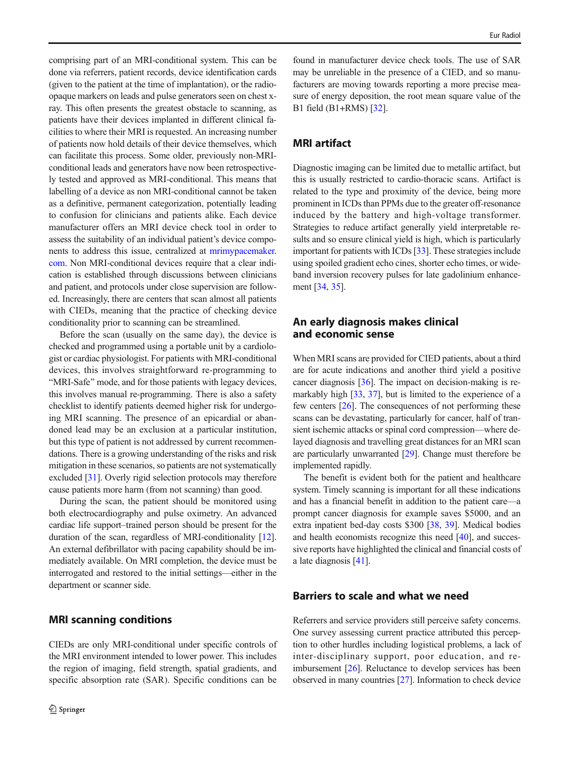comprising part of an MRI-conditional system. This can be done via referrers, patient records, device identification cards (given to the patient at the time of implantation), or the radioopaque markers on leads and pulse generators seen on chest xray. This often presents the greatest obstacle to scanning, as patients have their devices implanted in different clinical facilities to where their MRI is requested. An increasing number of patients now hold details of their device themselves, which can facilitate this process. Some older, previously non-MRIconditional leads and generators have now been retrospectively tested and approved as MRI-conditional. This means that labelling of a device as non MRI-conditional cannot be taken as a definitive, permanent categorization, potentially leading to confusion for clinicians and patients alike. Each device manufacturer offers an MRI device check tool in order to assess the suitability of an individual patient's device components to address this issue, centralized at [mrimypacemaker.](http://www.mrimypacemaker.com/) [com.](http://www.mrimypacemaker.com/) Non MRI-conditional devices require that a clear indication is established through discussions between clinicians and patient, and protocols under close supervision are followed. Increasingly, there are centers that scan almost all patients with CIEDs, meaning that the practice of checking device conditionality prior to scanning can be streamlined.

Before the scan (usually on the same day), the device is checked and programmed using a portable unit by a cardiologist or cardiac physiologist. For patients with MRI-conditional devices, this involves straightforward re-programming to "MRI-Safe" mode, and for those patients with legacy devices, this involves manual re-programming. There is also a safety checklist to identify patients deemed higher risk for undergoing MRI scanning. The presence of an epicardial or abandoned lead may be an exclusion at a particular institution, but this type of patient is not addressed by current recommendations. There is a growing understanding of the risks and risk mitigation in these scenarios, so patients are not systematically excluded [[31\]](#page-6-0). Overly rigid selection protocols may therefore cause patients more harm (from not scanning) than good.

During the scan, the patient should be monitored using both electrocardiography and pulse oximetry. An advanced cardiac life support–trained person should be present for the duration of the scan, regardless of MRI-conditionality [[12\]](#page-5-0). An external defibrillator with pacing capability should be immediately available. On MRI completion, the device must be interrogated and restored to the initial settings—either in the department or scanner side.

#### MRI scanning conditions

CIEDs are only MRI-conditional under specific controls of the MRI environment intended to lower power. This includes the region of imaging, field strength, spatial gradients, and specific absorption rate (SAR). Specific conditions can be

found in manufacturer device check tools. The use of SAR may be unreliable in the presence of a CIED, and so manufacturers are moving towards reporting a more precise measure of energy deposition, the root mean square value of the B1 field (B1+RMS) [\[32\]](#page-6-0).

#### MRI artifact

Diagnostic imaging can be limited due to metallic artifact, but this is usually restricted to cardio-thoracic scans. Artifact is related to the type and proximity of the device, being more prominent in ICDs than PPMs due to the greater off-resonance induced by the battery and high-voltage transformer. Strategies to reduce artifact generally yield interpretable results and so ensure clinical yield is high, which is particularly important for patients with ICDs [\[33](#page-6-0)]. These strategies include using spoiled gradient echo cines, shorter echo times, or wideband inversion recovery pulses for late gadolinium enhancement [\[34](#page-6-0), [35\]](#page-6-0).

# An early diagnosis makes clinical and economic sense

When MRI scans are provided for CIED patients, about a third are for acute indications and another third yield a positive cancer diagnosis [\[36](#page-6-0)]. The impact on decision-making is remarkably high [\[33](#page-6-0), [37](#page-6-0)], but is limited to the experience of a few centers [\[26](#page-5-0)]. The consequences of not performing these scans can be devastating, particularly for cancer, half of transient ischemic attacks or spinal cord compression—where delayed diagnosis and travelling great distances for an MRI scan are particularly unwarranted [\[29](#page-5-0)]. Change must therefore be implemented rapidly.

The benefit is evident both for the patient and healthcare system. Timely scanning is important for all these indications and has a financial benefit in addition to the patient care—a prompt cancer diagnosis for example saves \$5000, and an extra inpatient bed-day costs \$300 [\[38](#page-6-0), [39\]](#page-6-0). Medical bodies and health economists recognize this need [[40\]](#page-6-0), and successive reports have highlighted the clinical and financial costs of a late diagnosis [[41\]](#page-6-0).

## Barriers to scale and what we need

Referrers and service providers still perceive safety concerns. One survey assessing current practice attributed this perception to other hurdles including logistical problems, a lack of inter-disciplinary support, poor education, and reimbursement [\[26](#page-5-0)]. Reluctance to develop services has been observed in many countries [\[27\]](#page-5-0). Information to check device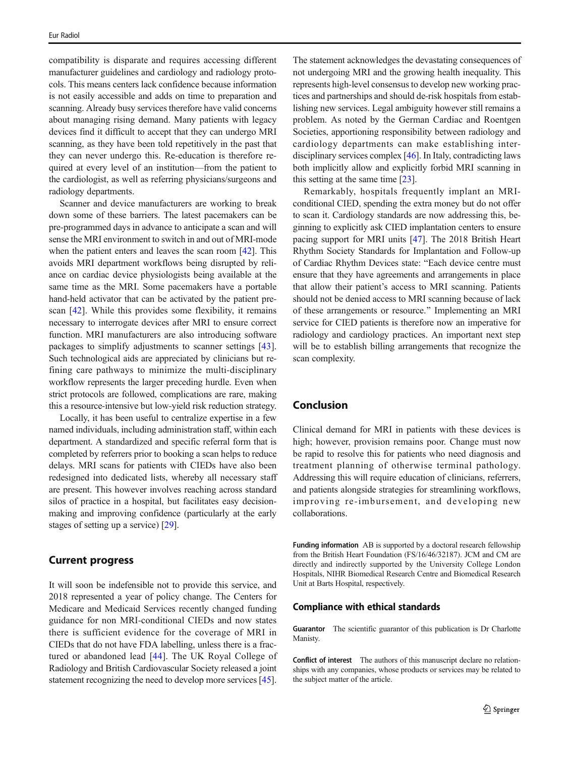compatibility is disparate and requires accessing different manufacturer guidelines and cardiology and radiology protocols. This means centers lack confidence because information is not easily accessible and adds on time to preparation and scanning. Already busy services therefore have valid concerns about managing rising demand. Many patients with legacy devices find it difficult to accept that they can undergo MRI scanning, as they have been told repetitively in the past that they can never undergo this. Re-education is therefore required at every level of an institution—from the patient to the cardiologist, as well as referring physicians/surgeons and radiology departments.

Scanner and device manufacturers are working to break down some of these barriers. The latest pacemakers can be pre-programmed days in advance to anticipate a scan and will sense the MRI environment to switch in and out of MRI-mode when the patient enters and leaves the scan room [\[42](#page-6-0)]. This avoids MRI department workflows being disrupted by reliance on cardiac device physiologists being available at the same time as the MRI. Some pacemakers have a portable hand-held activator that can be activated by the patient prescan [[42\]](#page-6-0). While this provides some flexibility, it remains necessary to interrogate devices after MRI to ensure correct function. MRI manufacturers are also introducing software packages to simplify adjustments to scanner settings [\[43](#page-6-0)]. Such technological aids are appreciated by clinicians but refining care pathways to minimize the multi-disciplinary workflow represents the larger preceding hurdle. Even when strict protocols are followed, complications are rare, making this a resource-intensive but low-yield risk reduction strategy.

Locally, it has been useful to centralize expertise in a few named individuals, including administration staff, within each department. A standardized and specific referral form that is completed by referrers prior to booking a scan helps to reduce delays. MRI scans for patients with CIEDs have also been redesigned into dedicated lists, whereby all necessary staff are present. This however involves reaching across standard silos of practice in a hospital, but facilitates easy decisionmaking and improving confidence (particularly at the early stages of setting up a service) [[29\]](#page-5-0).

#### Current progress

It will soon be indefensible not to provide this service, and 2018 represented a year of policy change. The Centers for Medicare and Medicaid Services recently changed funding guidance for non MRI-conditional CIEDs and now states there is sufficient evidence for the coverage of MRI in CIEDs that do not have FDA labelling, unless there is a fractured or abandoned lead [[44\]](#page-6-0). The UK Royal College of Radiology and British Cardiovascular Society released a joint statement recognizing the need to develop more services [[45\]](#page-6-0).

The statement acknowledges the devastating consequences of not undergoing MRI and the growing health inequality. This represents high-level consensus to develop new working practices and partnerships and should de-risk hospitals from establishing new services. Legal ambiguity however still remains a problem. As noted by the German Cardiac and Roentgen Societies, apportioning responsibility between radiology and cardiology departments can make establishing interdisciplinary services complex [\[46\]](#page-6-0). In Italy, contradicting laws both implicitly allow and explicitly forbid MRI scanning in this setting at the same time [\[23](#page-5-0)].

Remarkably, hospitals frequently implant an MRIconditional CIED, spending the extra money but do not offer to scan it. Cardiology standards are now addressing this, beginning to explicitly ask CIED implantation centers to ensure pacing support for MRI units [\[47](#page-6-0)]. The 2018 British Heart Rhythm Society Standards for Implantation and Follow-up of Cardiac Rhythm Devices state: "Each device centre must ensure that they have agreements and arrangements in place that allow their patient's access to MRI scanning. Patients should not be denied access to MRI scanning because of lack of these arrangements or resource.^ Implementing an MRI service for CIED patients is therefore now an imperative for radiology and cardiology practices. An important next step will be to establish billing arrangements that recognize the scan complexity.

## Conclusion

Clinical demand for MRI in patients with these devices is high; however, provision remains poor. Change must now be rapid to resolve this for patients who need diagnosis and treatment planning of otherwise terminal pathology. Addressing this will require education of clinicians, referrers, and patients alongside strategies for streamlining workflows, improving re-imbursement, and developing new collaborations.

Funding information AB is supported by a doctoral research fellowship from the British Heart Foundation (FS/16/46/32187). JCM and CM are directly and indirectly supported by the University College London Hospitals, NIHR Biomedical Research Centre and Biomedical Research Unit at Barts Hospital, respectively.

#### Compliance with ethical standards

Guarantor The scientific guarantor of this publication is Dr Charlotte Manisty.

Conflict of interest The authors of this manuscript declare no relationships with any companies, whose products or services may be related to the subject matter of the article.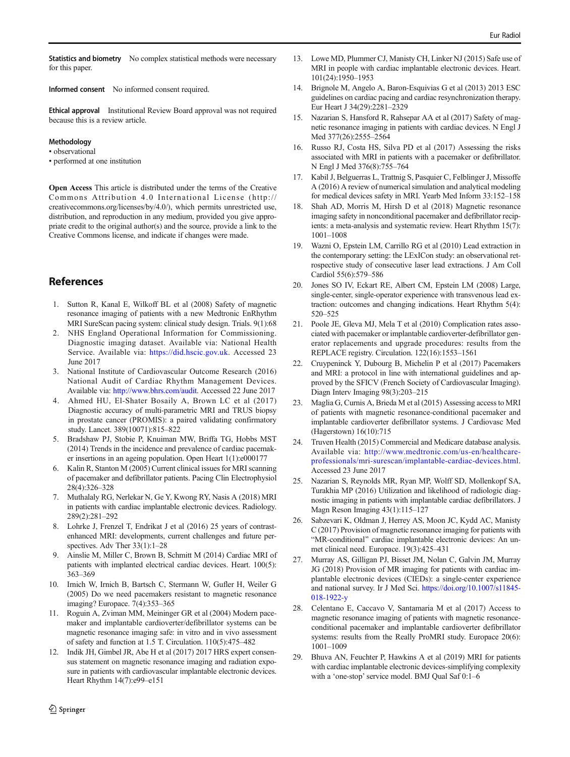<span id="page-5-0"></span>Statistics and biometry No complex statistical methods were necessary for this paper.

Informed consent No informed consent required.

Ethical approval Institutional Review Board approval was not required because this is a review article.

#### **Methodology**

• observational

• performed at one institution

Open Access This article is distributed under the terms of the Creative Commons Attribution 4.0 International License (http:// creativecommons.org/licenses/by/4.0/), which permits unrestricted use, distribution, and reproduction in any medium, provided you give appropriate credit to the original author(s) and the source, provide a link to the Creative Commons license, and indicate if changes were made.

## References

- 1. Sutton R, Kanal E, Wilkoff BL et al (2008) Safety of magnetic resonance imaging of patients with a new Medtronic EnRhythm MRI SureScan pacing system: clinical study design. Trials. 9(1):68
- 2. NHS England Operational Information for Commissioning. Diagnostic imaging dataset. Available via: National Health Service. Available via: <https://did.hscic.gov.uk>. Accessed 23 June 2017
- 3. National Institute of Cardiovascular Outcome Research (2016) National Audit of Cardiac Rhythm Management Devices. Available via: [http://www.bhrs.com/audit.](http://www.bhrs.com/audit) Accessed 22 June 2017
- 4. Ahmed HU, El-Shater Bosaily A, Brown LC et al (2017) Diagnostic accuracy of multi-parametric MRI and TRUS biopsy in prostate cancer (PROMIS): a paired validating confirmatory study. Lancet. 389(10071):815–822
- 5. Bradshaw PJ, Stobie P, Knuiman MW, Briffa TG, Hobbs MST (2014) Trends in the incidence and prevalence of cardiac pacemaker insertions in an ageing population. Open Heart 1(1):e000177
- 6. Kalin R, Stanton M (2005) Current clinical issues for MRI scanning of pacemaker and defibrillator patients. Pacing Clin Electrophysiol 28(4):326–328
- 7. Muthalaly RG, Nerlekar N, Ge Y, Kwong RY, Nasis A (2018) MRI in patients with cardiac implantable electronic devices. Radiology. 289(2):281–292
- 8. Lohrke J, Frenzel T, Endrikat J et al (2016) 25 years of contrastenhanced MRI: developments, current challenges and future perspectives. Adv Ther 33(1):1–28
- 9. Ainslie M, Miller C, Brown B, Schmitt M (2014) Cardiac MRI of patients with implanted electrical cardiac devices. Heart. 100(5): 363–369
- 10. Irnich W, Irnich B, Bartsch C, Stermann W, Gufler H, Weiler G (2005) Do we need pacemakers resistant to magnetic resonance imaging? Europace. 7(4):353–365
- 11. Roguin A, Zviman MM, Meininger GR et al (2004) Modern pacemaker and implantable cardioverter/defibrillator systems can be magnetic resonance imaging safe: in vitro and in vivo assessment of safety and function at 1.5 T. Circulation. 110(5):475–482
- 12. Indik JH, Gimbel JR, Abe H et al (2017) 2017 HRS expert consensus statement on magnetic resonance imaging and radiation exposure in patients with cardiovascular implantable electronic devices. Heart Rhythm 14(7):e99–e151
- 13. Lowe MD, Plummer CJ, Manisty CH, Linker NJ (2015) Safe use of MRI in people with cardiac implantable electronic devices. Heart. 101(24):1950–1953
- 14. Brignole M, Angelo A, Baron-Esquivias G et al (2013) 2013 ESC guidelines on cardiac pacing and cardiac resynchronization therapy. Eur Heart J 34(29):2281–2329
- 15. Nazarian S, Hansford R, Rahsepar AA et al (2017) Safety of magnetic resonance imaging in patients with cardiac devices. N Engl J Med 377(26):2555–2564
- 16. Russo RJ, Costa HS, Silva PD et al (2017) Assessing the risks associated with MRI in patients with a pacemaker or defibrillator. N Engl J Med 376(8):755–764
- 17. Kabil J, Belguerras L, Trattnig S, Pasquier C, Felblinger J, Missoffe A (2016) A review of numerical simulation and analytical modeling for medical devices safety in MRI. Yearb Med Inform 33:152–158
- 18. Shah AD, Morris M, Hirsh D et al (2018) Magnetic resonance imaging safety in nonconditional pacemaker and defibrillator recipients: a meta-analysis and systematic review. Heart Rhythm 15(7): 1001–1008
- 19. Wazni O, Epstein LM, Carrillo RG et al (2010) Lead extraction in the contemporary setting: the LExICon study: an observational retrospective study of consecutive laser lead extractions. J Am Coll Cardiol 55(6):579–586
- 20. Jones SO IV, Eckart RE, Albert CM, Epstein LM (2008) Large, single-center, single-operator experience with transvenous lead extraction: outcomes and changing indications. Heart Rhythm 5(4): 520–525
- 21. Poole JE, Gleva MJ, Mela T et al (2010) Complication rates associated with pacemaker or implantable cardioverter-defibrillator generator replacements and upgrade procedures: results from the REPLACE registry. Circulation. 122(16):1553–1561
- 22. Cruypeninck Y, Dubourg B, Michelin P et al (2017) Pacemakers and MRI: a protocol in line with international guidelines and approved by the SFICV (French Society of Cardiovascular Imaging). Diagn Interv Imaging 98(3):203–215
- 23. Maglia G, Curnis A, Brieda M et al (2015) Assessing access to MRI of patients with magnetic resonance-conditional pacemaker and implantable cardioverter defibrillator systems. J Cardiovasc Med (Hagerstown) 16(10):715
- 24. Truven Health (2015) Commercial and Medicare database analysis. Available via: [http://www.medtronic.com/us-en/healthcare](http://www.medtronic.com/us-en/healthcare-professionals/mri-surescan/implantable-cardiac-devices.html)[professionals/mri-surescan/implantable-cardiac-devices.html](http://www.medtronic.com/us-en/healthcare-professionals/mri-surescan/implantable-cardiac-devices.html). Accessed 23 June 2017
- 25. Nazarian S, Reynolds MR, Ryan MP, Wolff SD, Mollenkopf SA, Turakhia MP (2016) Utilization and likelihood of radiologic diagnostic imaging in patients with implantable cardiac defibrillators. J Magn Reson Imaging 43(1):115–127
- 26. Sabzevari K, Oldman J, Herrey AS, Moon JC, Kydd AC, Manisty C (2017) Provision of magnetic resonance imaging for patients with "MR-conditional" cardiac implantable electronic devices: An unmet clinical need. Europace. 19(3):425–431
- 27. Murray AS, Gilligan PJ, Bisset JM, Nolan C, Galvin JM, Murray JG (2018) Provision of MR imaging for patients with cardiac implantable electronic devices (CIEDs): a single-center experience and national survey. Ir J Med Sci. [https://doi.org/10.1007/s11845-](https://doi.org/10.1007/s11845-018-1922-y) [018-1922-y](https://doi.org/10.1007/s11845-018-1922-y)
- 28. Celentano E, Caccavo V, Santamaria M et al (2017) Access to magnetic resonance imaging of patients with magnetic resonanceconditional pacemaker and implantable cardioverter defibrillator systems: results from the Really ProMRI study. Europace 20(6): 1001–1009
- 29. Bhuva AN, Feuchter P, Hawkins A et al (2019) MRI for patients with cardiac implantable electronic devices-simplifying complexity with a 'one-stop' service model. BMJ Qual Saf 0:1–6